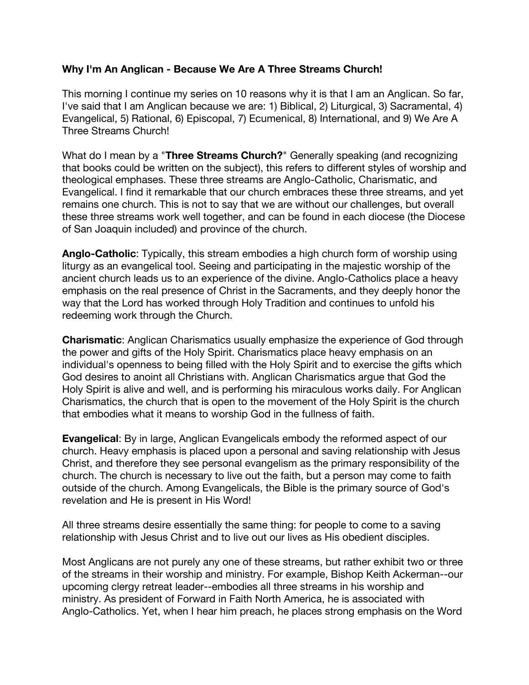## **Why I'm An Anglican - Because We Are A Three Streams Church!**

This morning I continue my series on 10 reasons why it is that I am an Anglican. So far, I've said that I am Anglican because we are: 1) Biblical, 2) Liturgical, 3) Sacramental, 4) Evangelical, 5) Rational, 6) Episcopal, 7) Ecumenical, 8) International, and 9) We Are A Three Streams Church!

What do I mean by a "**Three Streams Church?**" Generally speaking (and recognizing that books could be written on the subject), this refers to different styles of worship and theological emphases. These three streams are Anglo-Catholic, Charismatic, and Evangelical. I find it remarkable that our church embraces these three streams, and yet remains one church. This is not to say that we are without our challenges, but overall these three streams work well together, and can be found in each diocese (the Diocese of San Joaquin included) and province of the church.

**Anglo-Catholic**: Typically, this stream embodies a high church form of worship using liturgy as an evangelical tool. Seeing and participating in the majestic worship of the ancient church leads us to an experience of the divine. Anglo-Catholics place a heavy emphasis on the real presence of Christ in the Sacraments, and they deeply honor the way that the Lord has worked through Holy Tradition and continues to unfold his redeeming work through the Church.

**Charismatic**: Anglican Charismatics usually emphasize the experience of God through the power and gifts of the Holy Spirit. Charismatics place heavy emphasis on an individual's openness to being filled with the Holy Spirit and to exercise the gifts which God desires to anoint all Christians with. Anglican Charismatics argue that God the Holy Spirit is alive and well, and is performing his miraculous works daily. For Anglican Charismatics, the church that is open to the movement of the Holy Spirit is the church that embodies what it means to worship God in the fullness of faith.

**Evangelical**: By in large, Anglican Evangelicals embody the reformed aspect of our church. Heavy emphasis is placed upon a personal and saving relationship with Jesus Christ, and therefore they see personal evangelism as the primary responsibility of the church. The church is necessary to live out the faith, but a person may come to faith outside of the church. Among Evangelicals, the Bible is the primary source of God's revelation and He is present in His Word!

All three streams desire essentially the same thing: for people to come to a saving relationship with Jesus Christ and to live out our lives as His obedient disciples.

Most Anglicans are not purely any one of these streams, but rather exhibit two or three of the streams in their worship and ministry. For example, Bishop Keith Ackerman--our upcoming clergy retreat leader--embodies all three streams in his worship and ministry. As president of Forward in Faith North America, he is associated with Anglo-Catholics. Yet, when I hear him preach, he places strong emphasis on the Word